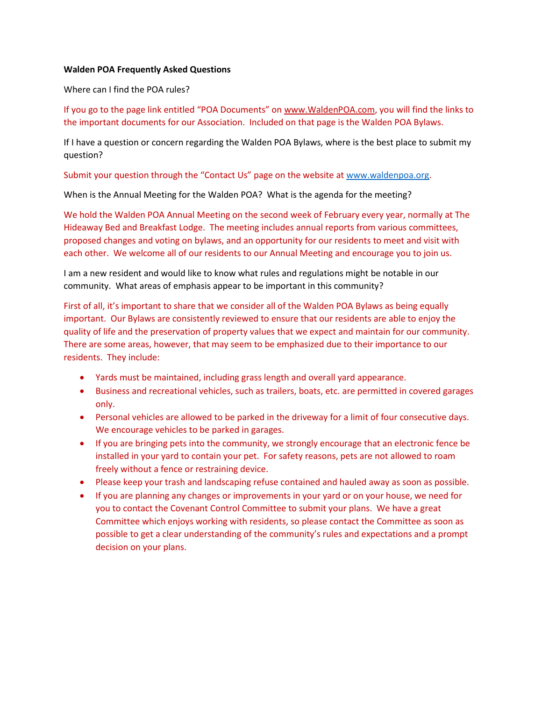## **Walden POA Frequently Asked Questions**

Where can I find the POA rules?

If you go to the page link entitled "POA Documents" on [www.WaldenPOA.com,](http://www.waldenpoa.com/) you will find the links to the important documents for our Association. Included on that page is the Walden POA Bylaws.

If I have a question or concern regarding the Walden POA Bylaws, where is the best place to submit my question?

Submit your question through the "Contact Us" page on the website at [www.waldenpoa.org.](http://www.waldenpoa.org/)

When is the Annual Meeting for the Walden POA? What is the agenda for the meeting?

We hold the Walden POA Annual Meeting on the second week of February every year, normally at The Hideaway Bed and Breakfast Lodge. The meeting includes annual reports from various committees, proposed changes and voting on bylaws, and an opportunity for our residents to meet and visit with each other. We welcome all of our residents to our Annual Meeting and encourage you to join us.

I am a new resident and would like to know what rules and regulations might be notable in our community. What areas of emphasis appear to be important in this community?

First of all, it's important to share that we consider all of the Walden POA Bylaws as being equally important. Our Bylaws are consistently reviewed to ensure that our residents are able to enjoy the quality of life and the preservation of property values that we expect and maintain for our community. There are some areas, however, that may seem to be emphasized due to their importance to our residents. They include:

- Yards must be maintained, including grass length and overall yard appearance.
- Business and recreational vehicles, such as trailers, boats, etc. are permitted in covered garages only.
- Personal vehicles are allowed to be parked in the driveway for a limit of four consecutive days. We encourage vehicles to be parked in garages.
- If you are bringing pets into the community, we strongly encourage that an electronic fence be installed in your yard to contain your pet. For safety reasons, pets are not allowed to roam freely without a fence or restraining device.
- Please keep your trash and landscaping refuse contained and hauled away as soon as possible.
- If you are planning any changes or improvements in your yard or on your house, we need for you to contact the Covenant Control Committee to submit your plans. We have a great Committee which enjoys working with residents, so please contact the Committee as soon as possible to get a clear understanding of the community's rules and expectations and a prompt decision on your plans.